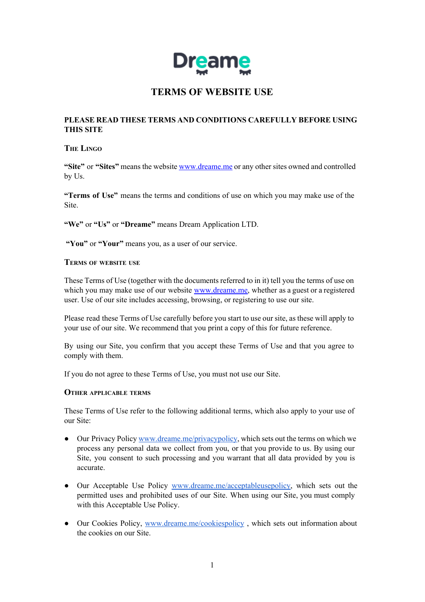

# **TERMS OF WEBSITE USE**

# **PLEASE READ THESE TERMS AND CONDITIONS CAREFULLY BEFORE USING THIS SITE**

**THE LINGO**

**"Site"** or **"Sites"** means the website [www.dreame.me](http://www.dreame.me/) or any other sites owned and controlled by Us.

**"Terms of Use"** means the terms and conditions of use on which you may make use of the Site.

**"We"** or **"Us"** or **"Dreame"**means Dream Application LTD.

**"You"** or **"Your"**means you, as a user of our service.

#### **TERMS OF WEBSITE USE**

These Terms of Use (together with the documents referred to in it) tell you the terms of use on which you may make use of our website [www.dreame.me](http://www.dreame.me/), whether as a guest or a registered user. Use of our site includes accessing, browsing, or registering to use our site.

Please read these Terms of Use carefully before you start to use our site, as these will apply to your use of our site. We recommend that you print a copy of this for future reference.

By using our Site, you confirm that you accept these Terms of Use and that you agree to comply with them.

If you do not agree to these Terms of Use, you must not use our Site.

## **OTHER APPLICABLE TERMS**

These Terms of Use refer to the following additional terms, which also apply to your use of our Site:

- Our Privacy Policy [www.dreame.me/privacypolicy,](http://www.dreame.me/privacypolicy) which sets out the terms on which we process any personal data we collect from you, or that you provide to us. By using our Site, you consent to such processing and you warrant that all data provided by you is accurate.
- Our Acceptable Use Policy [www.dreame.me/acceptableusepolicy,](http://www.dreame.me/acceptableusepolicy) which sets out the permitted uses and prohibited uses of our Site. When using our Site, you must comply with this Acceptable Use Policy.
- Our Cookies Policy, [www.dreame.me/cookiespolicy](http://www.dreame.me/cookiespolicy), which sets out information about the cookies on our Site.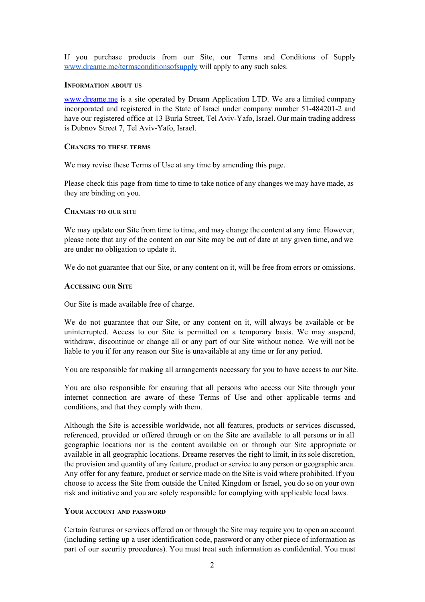If you purchase products from our Site, our Terms and Conditions of Supply [www.dreame.me/termsconditionsofsupply](http://www.dreame.me/termsconditionsofsupply) will apply to any such sales.

#### **INFORMATION ABOUT US**

[www.dreame.me](http://www.dreame.me/) is a site operated by Dream Application LTD. We are a limited company incorporated and registered in the State of Israel under company number 51-484201-2 and have our registered office at 13 Burla Street, Tel Aviv-Yafo, Israel. Our main trading address is Dubnov Street 7, Tel Aviv-Yafo, Israel.

#### **CHANGES TO THESE TERMS**

We may revise these Terms of Use at any time by amending this page.

Please check this page from time to time to take notice of any changes we may have made, as they are binding on you.

#### **CHANGES TO OUR SITE**

We may update our Site from time to time, and may change the content at any time. However, please note that any of the content on our Site may be out of date at any given time, and we are under no obligation to update it.

We do not guarantee that our Site, or any content on it, will be free from errors or omissions.

#### **ACCESSING OUR SITE**

Our Site is made available free of charge.

We do not guarantee that our Site, or any content on it, will always be available or be uninterrupted. Access to our Site is permitted on a temporary basis. We may suspend, withdraw, discontinue or change all or any part of our Site without notice. We will not be liable to you if for any reason our Site is unavailable at any time or for any period.

You are responsible for making all arrangements necessary for you to have access to our Site.

You are also responsible for ensuring that all persons who access our Site through your internet connection are aware of these Terms of Use and other applicable terms and conditions, and that they comply with them.

Although the Site is accessible worldwide, not all features, products or services discussed, referenced, provided or offered through or on the Site are available to all persons or in all geographic locations nor is the content available on or through our Site appropriate or available in all geographic locations. Dreame reserves the right to limit, in its sole discretion, the provision and quantity of any feature, product or service to any person or geographic area. Any offer for any feature, product or service made on the Site is void where prohibited. If you choose to access the Site from outside the United Kingdom or Israel, you do so on your own risk and initiative and you are solely responsible for complying with applicable local laws.

# **YOUR ACCOUNT AND PASSWORD**

Certain features or services offered on or through the Site may require you to open an account (including setting up a user identification code, password or any other piece of information as part of our security procedures). You must treat such information as confidential. You must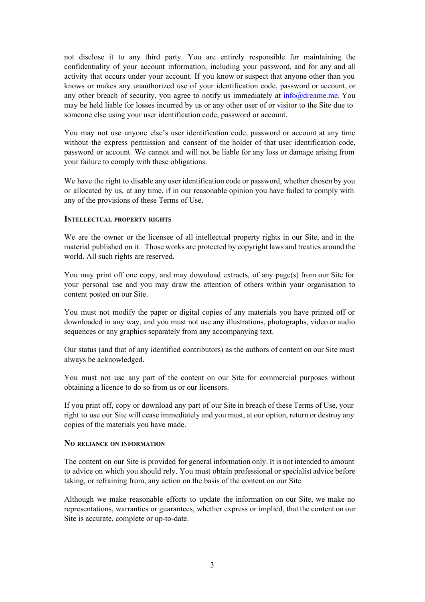not disclose it to any third party. You are entirely responsible for maintaining the confidentiality of your account information, including your password, and for any and all activity that occurs under your account. If you know or suspect that anyone other than you knows or makes any unauthorized use of your identification code, password or account, or any other breach of security, you agree to notify us immediately at  $\frac{info@d$ reame.me</u>. You may be held liable for losses incurred by us or any other user of or visitor to the Site due to someone else using your user identification code, password or account.

You may not use anyone else's user identification code, password or account at any time without the express permission and consent of the holder of that user identification code, password or account. We cannot and will not be liable for any loss or damage arising from your failure to comply with these obligations.

We have the right to disable any user identification code or password, whether chosen by you or allocated by us, at any time, if in our reasonable opinion you have failed to comply with any of the provisions of these Terms of Use.

#### **INTELLECTUAL PROPERTY RIGHTS**

We are the owner or the licensee of all intellectual property rights in our Site, and in the material published on it. Those works are protected by copyright laws and treaties around the world. All such rights are reserved.

You may print off one copy, and may download extracts, of any page(s) from our Site for your personal use and you may draw the attention of others within your organisation to content posted on our Site.

You must not modify the paper or digital copies of any materials you have printed off or downloaded in any way, and you must not use any illustrations, photographs, video or audio sequences or any graphics separately from any accompanying text.

Our status (and that of any identified contributors) as the authors of content on our Site must always be acknowledged.

You must not use any part of the content on our Site for commercial purposes without obtaining a licence to do so from us or our licensors.

If you print off, copy or download any part of our Site in breach of these Terms of Use, your right to use our Site will cease immediately and you must, at our option, return or destroy any copies of the materials you have made.

# **N<sup>O</sup> RELIANCE ON INFORMATION**

The content on our Site is provided for general information only. It is not intended to amount to advice on which you should rely. You must obtain professional or specialist advice before taking, or refraining from, any action on the basis of the content on our Site.

Although we make reasonable efforts to update the information on our Site, we make no representations, warranties or guarantees, whether express or implied, that the content on our Site is accurate, complete or up-to-date.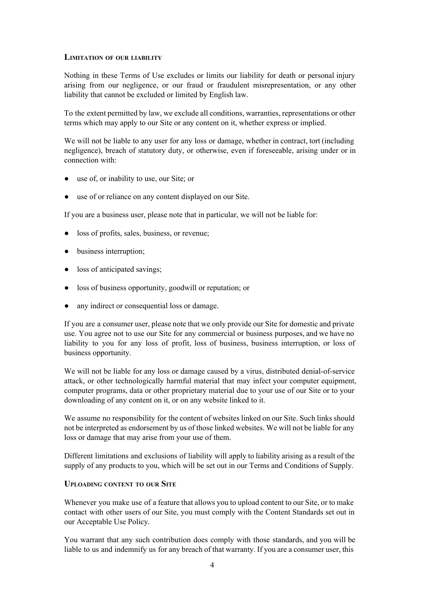# **LIMITATION OF OUR LIABILITY**

Nothing in these Terms of Use excludes or limits our liability for death or personal injury arising from our negligence, or our fraud or fraudulent misrepresentation, or any other liability that cannot be excluded or limited by English law.

To the extent permitted by law, we exclude all conditions, warranties, representations or other terms which may apply to our Site or any content on it, whether express or implied.

We will not be liable to any user for any loss or damage, whether in contract, tort (including negligence), breach of statutory duty, or otherwise, even if foreseeable, arising under or in connection with:

- use of, or inability to use, our Site; or
- use of or reliance on any content displayed on our Site.

If you are a business user, please note that in particular, we will not be liable for:

- loss of profits, sales, business, or revenue;
- business interruption;
- loss of anticipated savings;
- loss of business opportunity, goodwill or reputation; or
- any indirect or consequential loss or damage.

If you are a consumer user, please note that we only provide our Site for domestic and private use. You agree not to use our Site for any commercial or business purposes, and we have no liability to you for any loss of profit, loss of business, business interruption, or loss of business opportunity.

We will not be liable for any loss or damage caused by a virus, distributed denial-of-service attack, or other technologically harmful material that may infect your computer equipment, computer programs, data or other proprietary material due to your use of our Site or to your downloading of any content on it, or on any website linked to it.

We assume no responsibility for the content of websites linked on our Site. Such links should not be interpreted as endorsement by us of those linked websites. We will not be liable for any loss or damage that may arise from your use of them.

Different limitations and exclusions of liability will apply to liability arising as a result of the supply of any products to you, which will be set out in our Terms and Conditions of Supply.

# **UPLOADING CONTENT TO OUR SITE**

Whenever you make use of a feature that allows you to upload content to our Site, or to make contact with other users of our Site, you must comply with the Content Standards set out in our Acceptable Use Policy.

You warrant that any such contribution does comply with those standards, and you will be liable to us and indemnify us for any breach of that warranty. If you are a consumer user, this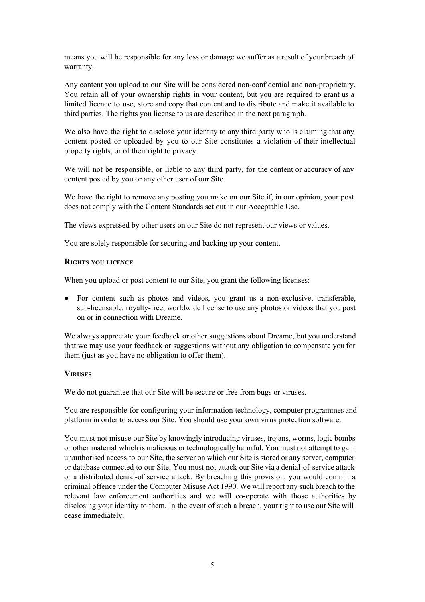means you will be responsible for any loss or damage we suffer as a result of your breach of warranty.

Any content you upload to our Site will be considered non-confidential and non-proprietary. You retain all of your ownership rights in your content, but you are required to grant us a limited licence to use, store and copy that content and to distribute and make it available to third parties. The rights you license to us are described in the next paragraph.

We also have the right to disclose your identity to any third party who is claiming that any content posted or uploaded by you to our Site constitutes a violation of their intellectual property rights, or of their right to privacy.

We will not be responsible, or liable to any third party, for the content or accuracy of any content posted by you or any other user of our Site.

We have the right to remove any posting you make on our Site if, in our opinion, your post does not comply with the Content Standards set out in our Acceptable Use.

The views expressed by other users on our Site do not represent our views or values.

You are solely responsible for securing and backing up your content.

## **RIGHTS YOU LICENCE**

When you upload or post content to our Site, you grant the following licenses:

● For content such as photos and videos, you grant us a nonexclusive, transferable, sub-licensable, royalty-free, worldwide license to use any photos or videos that you post on or in connection with Dreame.

We always appreciate your feedback or other suggestions about Dreame, but you understand that we may use your feedback or suggestions without any obligation to compensate you for them (just as you have no obligation to offer them).

## **VIRUSES**

We do not guarantee that our Site will be secure or free from bugs or viruses.

You are responsible for configuring your information technology, computer programmes and platform in order to access our Site. You should use your own virus protection software.

You must not misuse our Site by knowingly introducing viruses, trojans, worms, logic bombs or other material which is malicious or technologically harmful. You must not attempt to gain unauthorised access to our Site, the server on which our Site is stored or any server, computer or database connected to our Site. You must not attack our Site via a denial-of-service attack or a distributed denial-of service attack. By breaching this provision, you would commit a criminal offence under the Computer Misuse Act 1990. We will report any such breach to the relevant law enforcement authorities and we will co-operate with those authorities by disclosing your identity to them. In the event of such a breach, your right to use our Site will cease immediately.